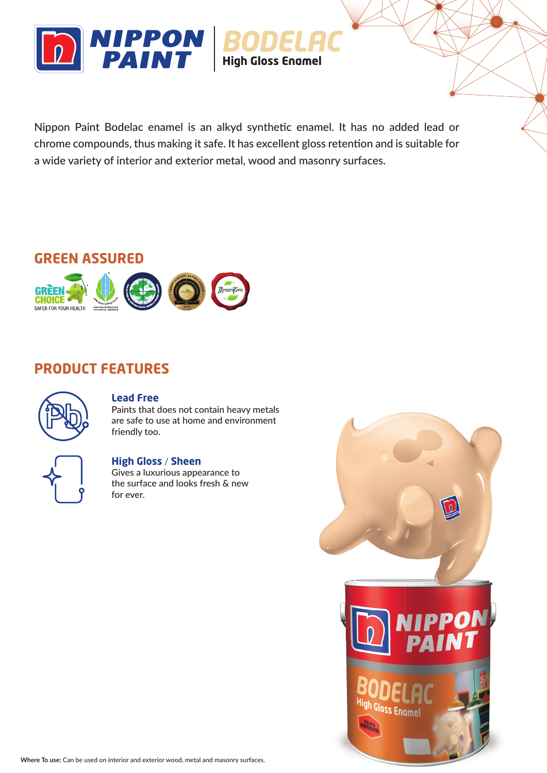

Nippon Paint Bodelac enamel is an alkyd synthetic enamel. It has no added lead or chrome compounds, thus making it safe. It has excellent gloss retention and is suitable for a wide variety of interior and exterior metal, wood and masonry surfaces.

# **GREEN ASSURED**



# **PRODUCT FEATURES**



### **Lead Free**

Paints that does not contain heavy metals are safe to use at home and environment friendly too.

### **High Gloss** / **Sheen**

Gives a luxurious appearance to the surface and looks fresh & new for ever.